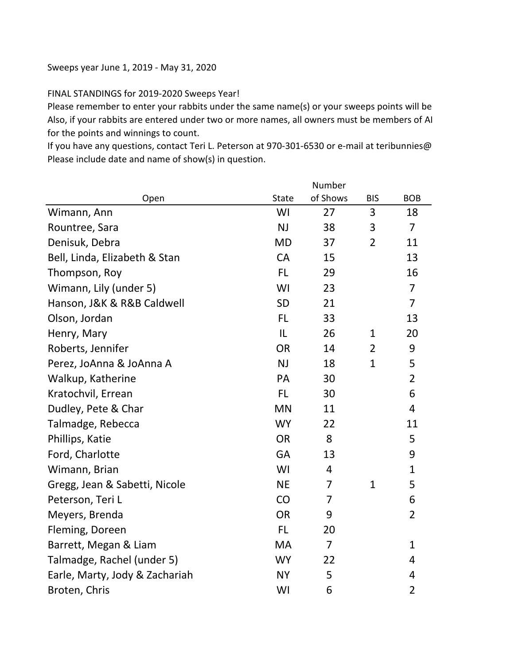## Sweeps year June 1, 2019 - May 31, 2020

## FINAL STANDINGS for 2019-2020 Sweeps Year!

Please remember to enter your rabbits under the same name(s) or your sweeps points will be Also, if your rabbits are entered under two or more names, all owners must be members of AI for the points and winnings to count.

If you have any questions, contact Teri L. Peterson at 970-301-6530 or e-mail at teribunnies@ Please include date and name of show(s) in question.

|                                |              | Number         |                |                |
|--------------------------------|--------------|----------------|----------------|----------------|
| Open                           | <b>State</b> | of Shows       | <b>BIS</b>     | <b>BOB</b>     |
| Wimann, Ann                    | WI           | 27             | 3              | 18             |
| Rountree, Sara                 | NJ           | 38             | 3              | $\overline{7}$ |
| Denisuk, Debra                 | <b>MD</b>    | 37             | $\overline{2}$ | 11             |
| Bell, Linda, Elizabeth & Stan  | CA           | 15             |                | 13             |
| Thompson, Roy                  | <b>FL</b>    | 29             |                | 16             |
| Wimann, Lily (under 5)         | WI           | 23             |                | $\overline{7}$ |
| Hanson, J&K & R&B Caldwell     | <b>SD</b>    | 21             |                | $\overline{7}$ |
| Olson, Jordan                  | <b>FL</b>    | 33             |                | 13             |
| Henry, Mary                    | IL           | 26             | 1              | 20             |
| Roberts, Jennifer              | <b>OR</b>    | 14             | $\overline{2}$ | 9              |
| Perez, JoAnna & JoAnna A       | NJ           | 18             | $\mathbf{1}$   | 5              |
| Walkup, Katherine              | PA           | 30             |                | $\overline{2}$ |
| Kratochvil, Errean             | <b>FL</b>    | 30             |                | 6              |
| Dudley, Pete & Char            | <b>MN</b>    | 11             |                | $\overline{4}$ |
| Talmadge, Rebecca              | <b>WY</b>    | 22             |                | 11             |
| Phillips, Katie                | <b>OR</b>    | 8              |                | 5              |
| Ford, Charlotte                | GA           | 13             |                | 9              |
| Wimann, Brian                  | WI           | $\overline{4}$ |                | $\mathbf{1}$   |
| Gregg, Jean & Sabetti, Nicole  | <b>NE</b>    | $\overline{7}$ | $\mathbf{1}$   | 5              |
| Peterson, Teri L               | CO           | 7              |                | 6              |
| Meyers, Brenda                 | <b>OR</b>    | 9              |                | $\overline{2}$ |
| Fleming, Doreen                | <b>FL</b>    | 20             |                |                |
| Barrett, Megan & Liam          | MA           | $\overline{7}$ |                | $\mathbf 1$    |
| Talmadge, Rachel (under 5)     | <b>WY</b>    | 22             |                | 4              |
| Earle, Marty, Jody & Zachariah | <b>NY</b>    | 5              |                | 4              |
| Broten, Chris                  | WI           | 6              |                | $\overline{2}$ |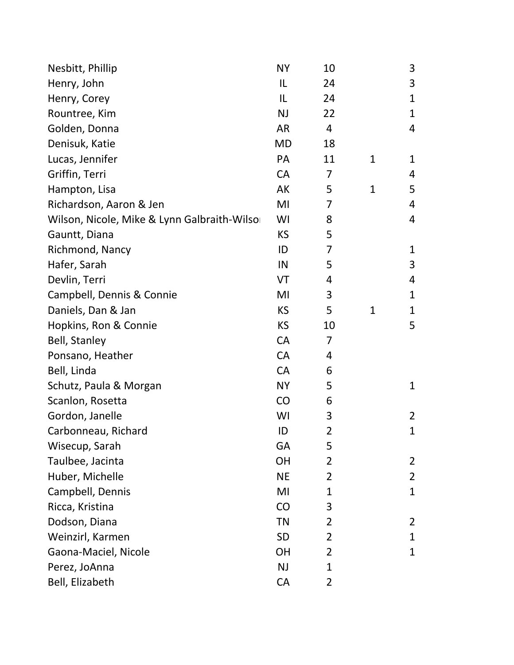| Nesbitt, Phillip                            | <b>NY</b> | 10 |              | 3              |
|---------------------------------------------|-----------|----|--------------|----------------|
| Henry, John                                 | IL        | 24 |              | 3              |
| Henry, Corey                                | IL        | 24 |              | $\mathbf 1$    |
| Rountree, Kim                               | <b>NJ</b> | 22 |              | $\mathbf{1}$   |
| Golden, Donna                               | <b>AR</b> | 4  |              | 4              |
| Denisuk, Katie                              | <b>MD</b> | 18 |              |                |
| Lucas, Jennifer                             | PA        | 11 | 1            | 1              |
| Griffin, Terri                              | CA        | 7  |              | 4              |
| Hampton, Lisa                               | AK        | 5  | $\mathbf{1}$ | 5              |
| Richardson, Aaron & Jen                     | MI        | 7  |              | 4              |
| Wilson, Nicole, Mike & Lynn Galbraith-Wilso | WI        | 8  |              | 4              |
| Gauntt, Diana                               | <b>KS</b> | 5  |              |                |
| Richmond, Nancy                             | ID        | 7  |              | $\mathbf 1$    |
| Hafer, Sarah                                | IN        | 5  |              | 3              |
| Devlin, Terri                               | VT        | 4  |              | 4              |
| Campbell, Dennis & Connie                   | MI        | 3  |              | $\mathbf 1$    |
| Daniels, Dan & Jan                          | <b>KS</b> | 5  | $\mathbf{1}$ | $\mathbf 1$    |
| Hopkins, Ron & Connie                       | <b>KS</b> | 10 |              | 5              |
| <b>Bell, Stanley</b>                        | <b>CA</b> | 7  |              |                |
| Ponsano, Heather                            | <b>CA</b> | 4  |              |                |
| Bell, Linda                                 | <b>CA</b> | 6  |              |                |
| Schutz, Paula & Morgan                      | <b>NY</b> | 5  |              | $\mathbf 1$    |
| Scanlon, Rosetta                            | CO        | 6  |              |                |
| Gordon, Janelle                             | WI        | 3  |              | $\overline{2}$ |
| Carbonneau, Richard                         | ID        | 2  |              | $\mathbf 1$    |
| Wisecup, Sarah                              | <b>GA</b> | 5  |              |                |
| Taulbee, Jacinta                            | <b>OH</b> | 2  |              | 2              |
| Huber, Michelle                             | <b>NE</b> | 2  |              | $\overline{2}$ |
| Campbell, Dennis                            | MI        | 1  |              | 1              |
| Ricca, Kristina                             | CO        | 3  |              |                |
| Dodson, Diana                               | <b>TN</b> | 2  |              | 2              |
| Weinzirl, Karmen                            | <b>SD</b> | 2  |              | 1              |
| Gaona-Maciel, Nicole                        | <b>OH</b> | 2  |              | 1              |
| Perez, JoAnna                               | <b>NJ</b> | 1  |              |                |
| Bell, Elizabeth                             | CA        | 2  |              |                |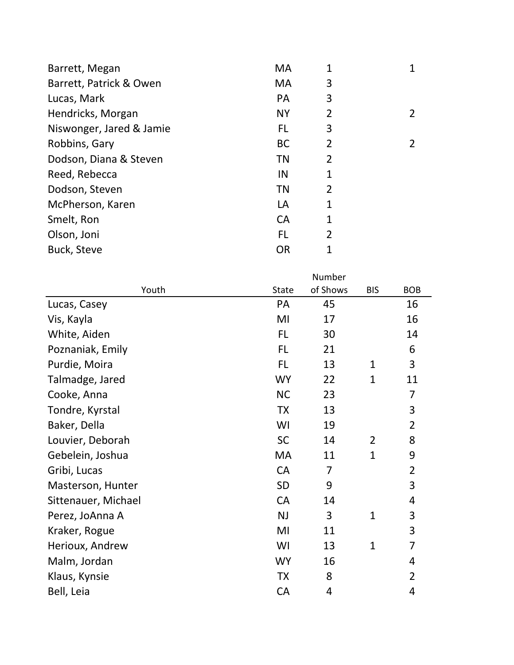| 3           |                |
|-------------|----------------|
|             |                |
| 3           |                |
| 2           | $\overline{2}$ |
| 3           |                |
| 2           | $\overline{2}$ |
| 2           |                |
| 1           |                |
| 2           |                |
| $\mathbf 1$ |                |
| 1           |                |
| 2           |                |
|             |                |
|             |                |

|                     |              | Number   |              |                |
|---------------------|--------------|----------|--------------|----------------|
| Youth               | <b>State</b> | of Shows | <b>BIS</b>   | <b>BOB</b>     |
| Lucas, Casey        | PA           | 45       |              | 16             |
| Vis, Kayla          | MI           | 17       |              | 16             |
| White, Aiden        | FL           | 30       |              | 14             |
| Poznaniak, Emily    | <b>FL</b>    | 21       |              | 6              |
| Purdie, Moira       | FL.          | 13       | 1            | 3              |
| Talmadge, Jared     | <b>WY</b>    | 22       | $\mathbf{1}$ | 11             |
| Cooke, Anna         | <b>NC</b>    | 23       |              | 7              |
| Tondre, Kyrstal     | <b>TX</b>    | 13       |              | 3              |
| Baker, Della        | WI           | 19       |              | $\overline{2}$ |
| Louvier, Deborah    | <b>SC</b>    | 14       | 2            | 8              |
| Gebelein, Joshua    | MA           | 11       | $\mathbf{1}$ | 9              |
| Gribi, Lucas        | CA           | 7        |              | $\overline{2}$ |
| Masterson, Hunter   | <b>SD</b>    | 9        |              | 3              |
| Sittenauer, Michael | <b>CA</b>    | 14       |              | 4              |
| Perez, JoAnna A     | NJ           | 3        | $\mathbf{1}$ | 3              |
| Kraker, Rogue       | MI           | 11       |              | 3              |
| Herioux, Andrew     | WI           | 13       | $\mathbf{1}$ | 7              |
| Malm, Jordan        | <b>WY</b>    | 16       |              | 4              |
| Klaus, Kynsie       | <b>TX</b>    | 8        |              | $\overline{2}$ |
| Bell, Leia          | CA           | 4        |              | 4              |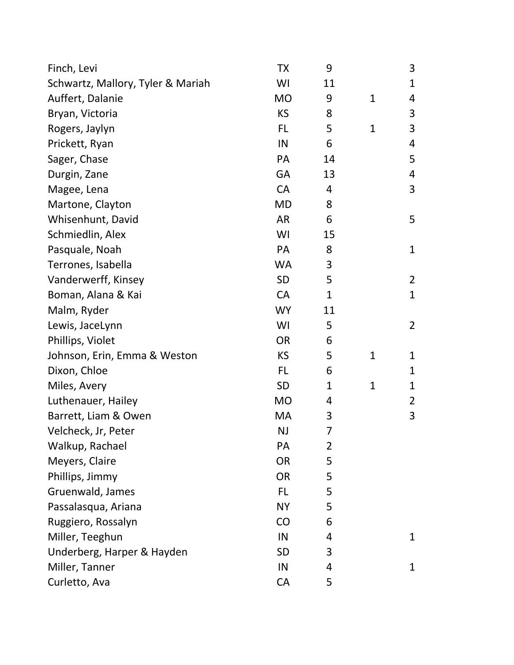| Finch, Levi                       | <b>TX</b> | 9              |              | 3              |
|-----------------------------------|-----------|----------------|--------------|----------------|
| Schwartz, Mallory, Tyler & Mariah | WI        | 11             |              | 1              |
| Auffert, Dalanie                  | <b>MO</b> | 9              | $\mathbf{1}$ | 4              |
| Bryan, Victoria                   | <b>KS</b> | 8              |              | 3              |
| Rogers, Jaylyn                    | <b>FL</b> | 5              | $\mathbf{1}$ | 3              |
| Prickett, Ryan                    | IN        | 6              |              | 4              |
| Sager, Chase                      | PA        | 14             |              | 5              |
| Durgin, Zane                      | GA        | 13             |              | 4              |
| Magee, Lena                       | CA        | 4              |              | 3              |
| Martone, Clayton                  | <b>MD</b> | 8              |              |                |
| Whisenhunt, David                 | <b>AR</b> | 6              |              | 5              |
| Schmiedlin, Alex                  | WI        | 15             |              |                |
| Pasquale, Noah                    | <b>PA</b> | 8              |              | $\mathbf{1}$   |
| Terrones, Isabella                | <b>WA</b> | 3              |              |                |
| Vanderwerff, Kinsey               | SD        | 5              |              | $\overline{2}$ |
| Boman, Alana & Kai                | <b>CA</b> | $\mathbf{1}$   |              | $\mathbf{1}$   |
| Malm, Ryder                       | <b>WY</b> | 11             |              |                |
| Lewis, JaceLynn                   | WI        | 5              |              | $\overline{2}$ |
| Phillips, Violet                  | <b>OR</b> | 6              |              |                |
| Johnson, Erin, Emma & Weston      | <b>KS</b> | 5              | $\mathbf{1}$ | 1              |
| Dixon, Chloe                      | <b>FL</b> | 6              |              | $\mathbf 1$    |
| Miles, Avery                      | <b>SD</b> | $\mathbf 1$    | $\mathbf{1}$ | 1              |
| Luthenauer, Hailey                | <b>MO</b> | $\overline{4}$ |              | $\overline{2}$ |
| Barrett, Liam & Owen              | MA        | 3              |              | 3              |
| Velcheck, Jr, Peter               | <b>NJ</b> | 7              |              |                |
| Walkup, Rachael                   | PA        | $\overline{2}$ |              |                |
| Meyers, Claire                    | <b>OR</b> | 5              |              |                |
| Phillips, Jimmy                   | <b>OR</b> | 5              |              |                |
| Gruenwald, James                  | <b>FL</b> | 5              |              |                |
| Passalasqua, Ariana               | <b>NY</b> | 5              |              |                |
| Ruggiero, Rossalyn                | CO        | 6              |              |                |
| Miller, Teeghun                   | IN        | 4              |              | $\mathbf 1$    |
| Underberg, Harper & Hayden        | <b>SD</b> | 3              |              |                |
| Miller, Tanner                    | IN        | 4              |              | $\mathbf{1}$   |
| Curletto, Ava                     | CA        | 5              |              |                |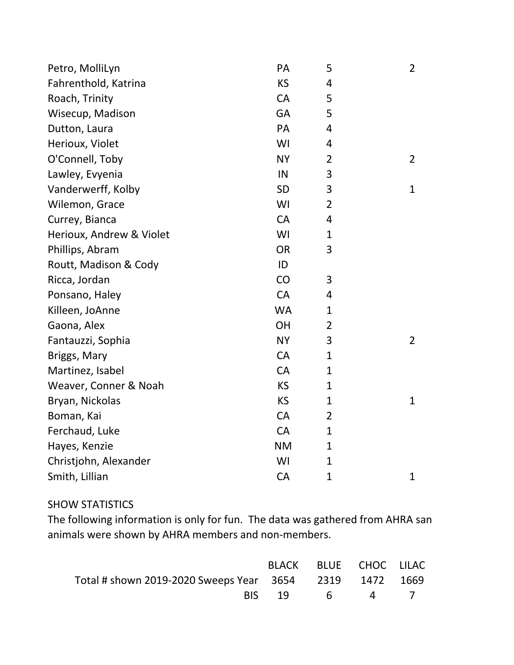| Petro, MolliLyn          | PA        | 5              | $\overline{2}$ |
|--------------------------|-----------|----------------|----------------|
| Fahrenthold, Katrina     | <b>KS</b> | 4              |                |
| Roach, Trinity           | <b>CA</b> | 5              |                |
| Wisecup, Madison         | GA        | 5              |                |
| Dutton, Laura            | PA        | 4              |                |
| Herioux, Violet          | WI        | 4              |                |
| O'Connell, Toby          | <b>NY</b> | $\overline{2}$ | $\overline{2}$ |
| Lawley, Evyenia          | IN        | 3              |                |
| Vanderwerff, Kolby       | <b>SD</b> | 3              | $\mathbf{1}$   |
| Wilemon, Grace           | WI        | $\overline{2}$ |                |
| Currey, Bianca           | <b>CA</b> | 4              |                |
| Herioux, Andrew & Violet | WI        | $\mathbf{1}$   |                |
| Phillips, Abram          | <b>OR</b> | 3              |                |
| Routt, Madison & Cody    | ID        |                |                |
| Ricca, Jordan            | CO        | 3              |                |
| Ponsano, Haley           | <b>CA</b> | 4              |                |
| Killeen, JoAnne          | <b>WA</b> | 1              |                |
| Gaona, Alex              | OH        | $\overline{2}$ |                |
| Fantauzzi, Sophia        | <b>NY</b> | 3              | $\overline{2}$ |
| Briggs, Mary             | <b>CA</b> | $\mathbf{1}$   |                |
| Martinez, Isabel         | CA        | $\mathbf{1}$   |                |
| Weaver, Conner & Noah    | <b>KS</b> | 1              |                |
| Bryan, Nickolas          | <b>KS</b> | $\mathbf{1}$   | $\mathbf{1}$   |
| Boman, Kai               | CA        | $\overline{2}$ |                |
| Ferchaud, Luke           | CA        | $\mathbf{1}$   |                |
| Hayes, Kenzie            | <b>NM</b> | $\mathbf{1}$   |                |
| Christjohn, Alexander    | WI        | $\mathbf{1}$   |                |
| Smith, Lillian           | <b>CA</b> | $\mathbf 1$    | $\mathbf{1}$   |

## SHOW STATISTICS

The following information is only for fun. The data was gathered from AHRA san animals were shown by AHRA members and non-members.

|                                                         |              | BLACK BLUE CHOC LILAC |  |
|---------------------------------------------------------|--------------|-----------------------|--|
| Total # shown 2019-2020 Sweeps Year 3654 2319 1472 1669 |              |                       |  |
|                                                         | RIS 19 6 4 7 |                       |  |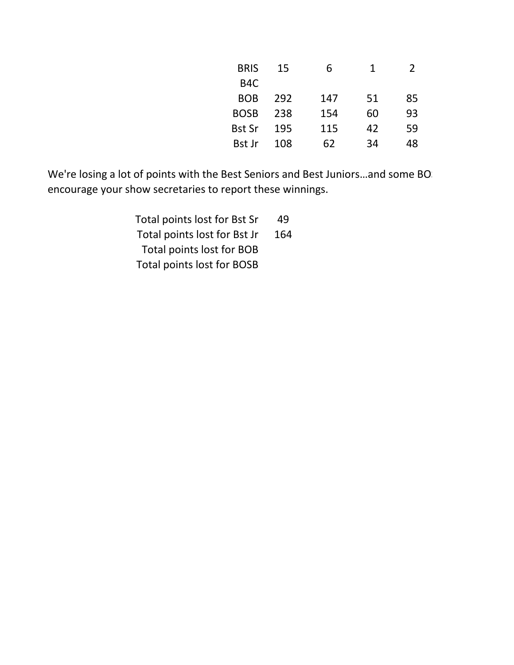| <b>BRIS</b>      | 15  | 6   | 1  | $\mathcal{L}$ |
|------------------|-----|-----|----|---------------|
| B <sub>4</sub> C |     |     |    |               |
| <b>BOB</b>       | 292 | 147 | 51 | 85            |
| <b>BOSB</b>      | 238 | 154 | 60 | 93            |
| <b>Bst Sr</b>    | 195 | 115 | 42 | 59            |
| <b>Bst Jr</b>    | 108 | 62  | 34 | 48            |

We're losing a lot of points with the Best Seniors and Best Juniors...and some BO: encourage your show secretaries to report these winnings.

> Total points lost for Bst Sr 49 Total points lost for Bst Jr 164 Total points lost for BOB Total points lost for BOSB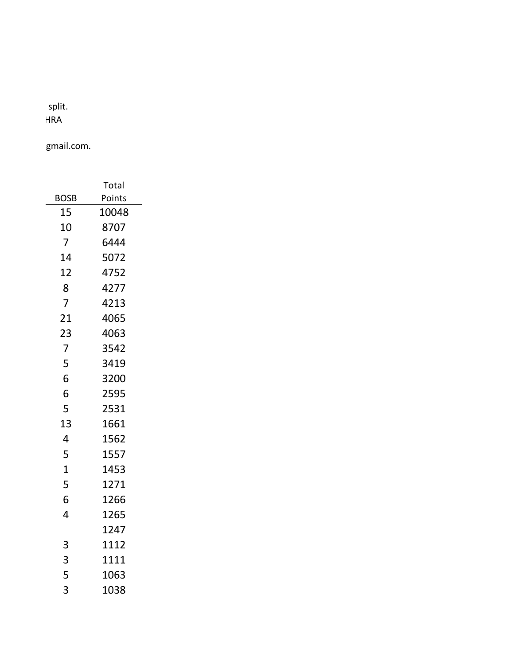## enter vous points under the split. Also, if your rabbits are entered under two or more names, all owners must be members of AHRA

gmail.com.

|                | Total  |
|----------------|--------|
| BOSB           | Points |
| 15             | 10048  |
| 10             | 8707   |
| 7              | 6444   |
| 14             | 5072   |
| 12             | 4752   |
| 8              | 4277   |
| 7              | 4213   |
| 21             | 4065   |
| 23             | 4063   |
| 7              | 3542   |
| 5              | 3419   |
| 6              | 3200   |
| 6              | 2595   |
| 5              | 2531   |
| 13             | 1661   |
| 4              | 1562   |
| 5              | 1557   |
| $\overline{1}$ | 1453   |
| 5              | 1271   |
| 6              | 1266   |
| 4              | 1265   |
|                | 1247   |
| 3              | 1112   |
| 3              | 1111   |
| 5              | 1063   |
| 3              | 1038   |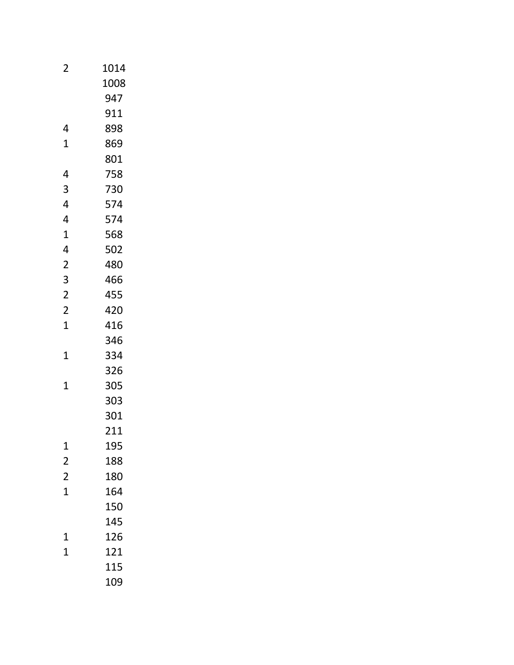| $\overline{2}$ | 1014 |
|----------------|------|
|                | 1008 |
|                | 947  |
|                | 911  |
| 4              | 898  |
| 1              | 869  |
|                | 801  |
| 4              | 758  |
| 3              | 730  |
| 4              | 574  |
| 4              | 574  |
| 1              | 568  |
| 4              | 502  |
| $\overline{2}$ | 480  |
| 3              | 466  |
| $\overline{2}$ | 455  |
| $\overline{2}$ | 420  |
| 1              | 416  |
|                | 346  |
| 1              | 334  |
|                | 326  |
| $\overline{1}$ | 305  |
|                | 303  |
|                | 301  |
|                | 211  |
| 1              | 195  |
| $\overline{2}$ | 188  |
| $\overline{2}$ | 180  |
| $\overline{1}$ | 164  |
|                | 150  |
|                | 145  |
| 1              | 126  |
| $\overline{1}$ | 121  |
|                | 115  |
|                | 109  |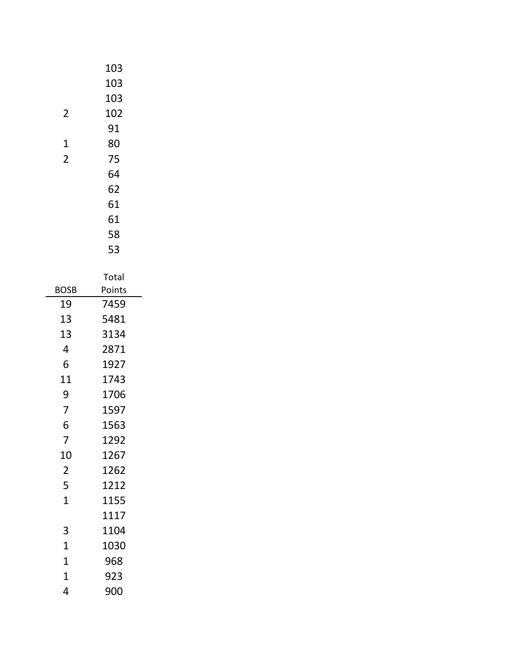|                | 103    |
|----------------|--------|
|                | 103    |
|                | 103    |
| 2              | 102    |
|                | 91     |
| 1              | 80     |
| $\overline{2}$ | 75     |
|                | 64     |
|                | 62     |
|                | 61     |
|                | 61     |
|                | 58     |
|                | 53     |
|                | Total  |
| BOSB           | Points |
| 19             | 7459   |
| 13             | 5481   |
| 13             | 3134   |
| 4              | 2871   |
| 6              | 1927   |
| 11             | 1743   |
| 9              | 1706   |
| 7              | 1597   |
| 6              | 1563   |
| 7              | 1292   |
| 10             | 1267   |
| $\overline{2}$ | 1262   |
| 5              | 1212   |
| $\overline{1}$ | 1155   |
|                | 1117   |
| 3              | 1104   |
| $\overline{1}$ | 1030   |
| $\overline{1}$ | 968    |
| $\overline{1}$ | 923    |
| 4              | 900    |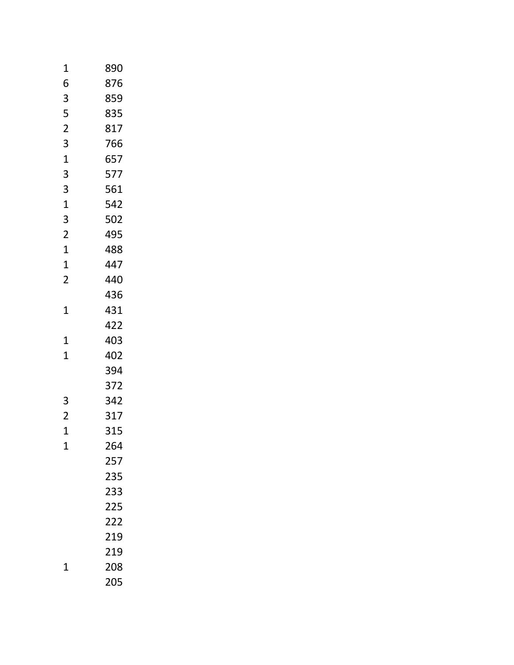| 1              | 890 |
|----------------|-----|
| 6              | 876 |
| 3              | 859 |
| 5              | 835 |
| $\overline{2}$ | 817 |
| 3              | 766 |
| $\mathbf{1}$   | 657 |
| 3              | 577 |
| 3              | 561 |
| $\mathbf 1$    | 542 |
| 3              | 502 |
| $\overline{c}$ | 495 |
| 1              | 488 |
| 1              | 447 |
| $\overline{c}$ | 440 |
|                | 436 |
| 1              | 431 |
|                | 422 |
| 1              | 403 |
| 1              | 402 |
|                | 394 |
|                | 372 |
| 3              | 342 |
| $\overline{2}$ | 317 |
| 1              | 315 |
| 1              | 264 |
|                | 257 |
|                | 235 |
|                | 233 |
|                | 225 |
|                | 222 |
|                | 219 |
|                | 219 |
| 1              | 208 |
|                | 205 |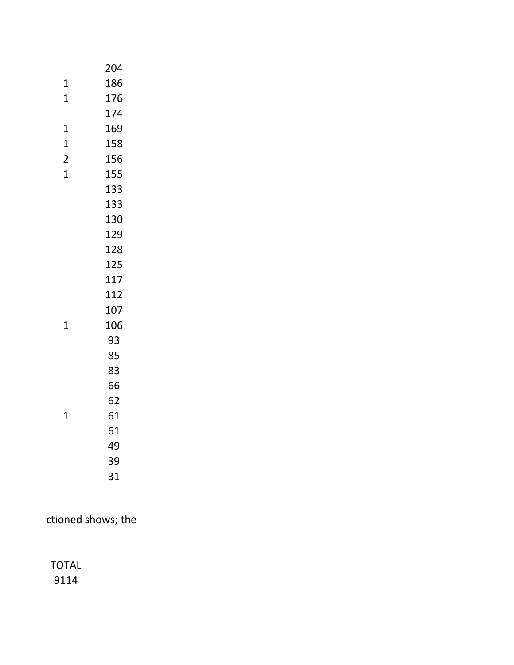|                | 204 |
|----------------|-----|
| 1              | 186 |
| 1              | 176 |
|                | 174 |
| 1              | 169 |
| 1              | 158 |
| $\overline{2}$ | 156 |
| $\overline{1}$ | 155 |
|                | 133 |
|                | 133 |
|                | 130 |
|                | 129 |
|                | 128 |
|                | 125 |
|                | 117 |
|                | 112 |
|                | 107 |
| 1              | 106 |
|                | 93  |
|                | 85  |
|                | 83  |
|                | 66  |
|                | 62  |
| 1              | 61  |
|                | 61  |
|                | 49  |
|                | 39  |
|                | 31  |
|                |     |

ctioned shows; the

TOTAL